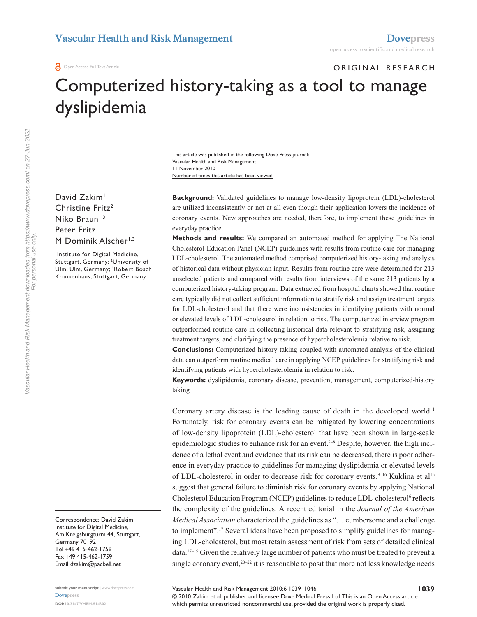# ORIGINAL RESEARCH

# Computerized history-taking as a tool to manage dyslipidemia

Number of times this article has been viewed This article was published in the following Dove Press journal: Vascular Health and Risk Management 11 November 2010

David Zakim<sup>1</sup> Christine Fritz<sup>2</sup> Niko Braun<sup>1,3</sup> Peter Fritz<sup>1</sup> M Dominik Alscher<sup>1,3</sup>

Institute for Digital Medicine, Stuttgart, Germany; 2 University of Ulm, Ulm, Germany; 3 Robert Bosch Krankenhaus, Stuttgart, Germany

Correspondence: David Zakim Institute for Digital Medicine, Am Kreigsburgturm 44, Stuttgart, Germany 70192 Tel +49 415-462-1759 Fax +49 415-462-1759 Email [dzakim@pacbell.net](mailto:dzakim@pacbell.net)

**Background:** Validated guidelines to manage low-density lipoprotein (LDL)-cholesterol are utilized inconsistently or not at all even though their application lowers the incidence of coronary events. New approaches are needed, therefore, to implement these guidelines in everyday practice.

**Methods and results:** We compared an automated method for applying The National Cholesterol Education Panel (NCEP) guidelines with results from routine care for managing LDL-cholesterol. The automated method comprised computerized history-taking and analysis of historical data without physician input. Results from routine care were determined for 213 unselected patients and compared with results from interviews of the same 213 patients by a computerized history-taking program. Data extracted from hospital charts showed that routine care typically did not collect sufficient information to stratify risk and assign treatment targets for LDL-cholesterol and that there were inconsistencies in identifying patients with normal or elevated levels of LDL-cholesterol in relation to risk. The computerized interview program outperformed routine care in collecting historical data relevant to stratifying risk, assigning treatment targets, and clarifying the presence of hypercholesterolemia relative to risk.

**Conclusions:** Computerized history-taking coupled with automated analysis of the clinical data can outperform routine medical care in applying NCEP guidelines for stratifying risk and identifying patients with hypercholesterolemia in relation to risk.

**Keywords:** dyslipidemia, coronary disease, prevention, management, computerized-history taking

Coronary artery disease is the leading cause of death in the developed world.<sup>1</sup> Fortunately, risk for coronary events can be mitigated by lowering concentrations of low-density lipoprotein (LDL)-cholesterol that have been shown in large-scale epidemiologic studies to enhance risk for an event.<sup> $2-8$ </sup> Despite, however, the high incidence of a lethal event and evidence that its risk can be decreased, there is poor adherence in everyday practice to guidelines for managing dyslipidemia or elevated levels of LDL-cholesterol in order to decrease risk for coronary events.<sup>9-16</sup> Kuklina et al<sup>16</sup> suggest that general failure to diminish risk for coronary events by applying National Cholesterol Education Program (NCEP) guidelines to reduce LDL-cholesterol<sup>6</sup> reflects the complexity of the guidelines. A recent editorial in the *Journal of the American Medical Association* characterized the guidelines as "… cumbersome and a challenge to implement".<sup>17</sup> Several ideas have been proposed to simplify guidelines for managing LDL-cholesterol, but most retain assessment of risk from sets of detailed clinical data.17–19 Given the relatively large number of patients who must be treated to prevent a single coronary event, $20-22$  it is reasonable to posit that more not less knowledge needs

which permits unrestricted noncommercial use, provided the original work is properly cited.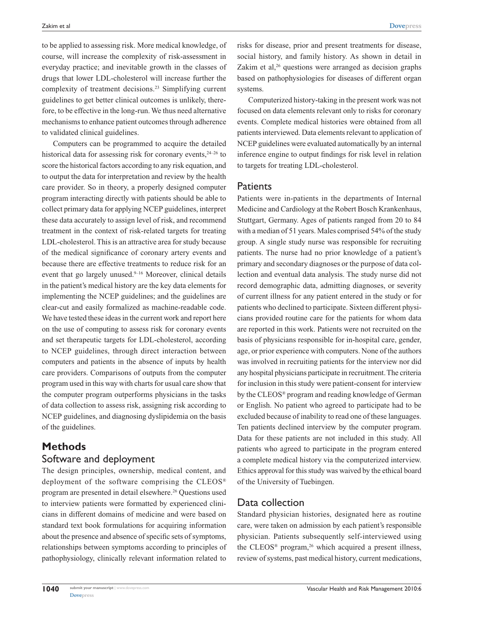to be applied to assessing risk. More medical knowledge, of course, will increase the complexity of risk-assessment in everyday practice; and inevitable growth in the classes of drugs that lower LDL-cholesterol will increase further the complexity of treatment decisions.23 Simplifying current guidelines to get better clinical outcomes is unlikely, therefore, to be effective in the long-run. We thus need alternative mechanisms to enhance patient outcomes through adherence to validated clinical guidelines.

Computers can be programmed to acquire the detailed historical data for assessing risk for coronary events, $24-26$  to score the historical factors according to any risk equation, and to output the data for interpretation and review by the health care provider. So in theory, a properly designed computer program interacting directly with patients should be able to collect primary data for applying NCEP guidelines, interpret these data accurately to assign level of risk, and recommend treatment in the context of risk-related targets for treating LDL-cholesterol. This is an attractive area for study because of the medical significance of coronary artery events and because there are effective treatments to reduce risk for an event that go largely unused.<sup>9-16</sup> Moreover, clinical details in the patient's medical history are the key data elements for implementing the NCEP guidelines; and the guidelines are clear-cut and easily formalized as machine-readable code. We have tested these ideas in the current work and report here on the use of computing to assess risk for coronary events and set therapeutic targets for LDL-cholesterol, according to NCEP guidelines, through direct interaction between computers and patients in the absence of inputs by health care providers. Comparisons of outputs from the computer program used in this way with charts for usual care show that the computer program outperforms physicians in the tasks of data collection to assess risk, assigning risk according to NCEP guidelines, and diagnosing dyslipidemia on the basis of the guidelines.

## **Methods**

#### Software and deployment

The design principles, ownership, medical content, and deployment of the software comprising the CLEOS® program are presented in detail elsewhere.<sup>26</sup> Questions used to interview patients were formatted by experienced clinicians in different domains of medicine and were based on standard text book formulations for acquiring information about the presence and absence of specific sets of symptoms, relationships between symptoms according to principles of pathophysiology, clinically relevant information related to risks for disease, prior and present treatments for disease, social history, and family history. As shown in detail in Zakim et al, $26$  questions were arranged as decision graphs based on pathophysiologies for diseases of different organ systems.

Computerized history-taking in the present work was not focused on data elements relevant only to risks for coronary events. Complete medical histories were obtained from all patients interviewed. Data elements relevant to application of NCEP guidelines were evaluated automatically by an internal inference engine to output findings for risk level in relation to targets for treating LDL-cholesterol.

#### **Patients**

Patients were in-patients in the departments of Internal Medicine and Cardiology at the Robert Bosch Krankenhaus, Stuttgart, Germany. Ages of patients ranged from 20 to 84 with a median of 51 years. Males comprised 54% of the study group. A single study nurse was responsible for recruiting patients. The nurse had no prior knowledge of a patient's primary and secondary diagnoses or the purpose of data collection and eventual data analysis. The study nurse did not record demographic data, admitting diagnoses, or severity of current illness for any patient entered in the study or for patients who declined to participate. Sixteen different physicians provided routine care for the patients for whom data are reported in this work. Patients were not recruited on the basis of physicians responsible for in-hospital care, gender, age, or prior experience with computers. None of the authors was involved in recruiting patients for the interview nor did any hospital physicians participate in recruitment. The criteria for inclusion in this study were patient-consent for interview by the CLEOS® program and reading knowledge of German or English. No patient who agreed to participate had to be excluded because of inability to read one of these languages. Ten patients declined interview by the computer program. Data for these patients are not included in this study. All patients who agreed to participate in the program entered a complete medical history via the computerized interview. Ethics approval for this study was waived by the ethical board of the University of Tuebingen.

#### Data collection

Standard physician histories, designated here as routine care, were taken on admission by each patient's responsible physician. Patients subsequently self-interviewed using the CLEOS® program,<sup>26</sup> which acquired a present illness, review of systems, past medical history, current medications,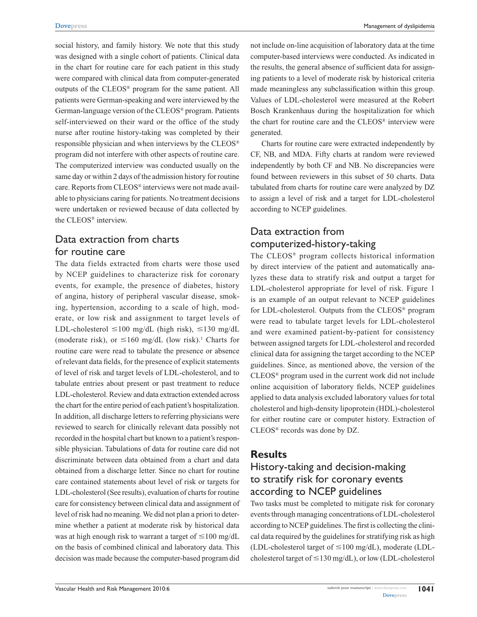social history, and family history. We note that this study was designed with a single cohort of patients. Clinical data in the chart for routine care for each patient in this study were compared with clinical data from computer-generated outputs of the CLEOS® program for the same patient. All patients were German-speaking and were interviewed by the German-language version of the CLEOS® program. Patients self-interviewed on their ward or the office of the study nurse after routine history-taking was completed by their responsible physician and when interviews by the CLEOS® program did not interfere with other aspects of routine care. The computerized interview was conducted usually on the same day or within 2 days of the admission history for routine care. Reports from CLEOS® interviews were not made available to physicians caring for patients. No treatment decisions were undertaken or reviewed because of data collected by the CLEOS® interview.

### Data extraction from charts for routine care

The data fields extracted from charts were those used by NCEP guidelines to characterize risk for coronary events, for example, the presence of diabetes, history of angina, history of peripheral vascular disease, smoking, hypertension, according to a scale of high, moderate, or low risk and assignment to target levels of LDL-cholesterol  $\leq 100$  mg/dL (high risk),  $\leq 130$  mg/dL (moderate risk), or  $\leq 160$  mg/dL (low risk).<sup>1</sup> Charts for routine care were read to tabulate the presence or absence of relevant data fields, for the presence of explicit statements of level of risk and target levels of LDL-cholesterol, and to tabulate entries about present or past treatment to reduce LDL-cholesterol. Review and data extraction extended across the chart for the entire period of each patient's hospitalization. In addition, all discharge letters to referring physicians were reviewed to search for clinically relevant data possibly not recorded in the hospital chart but known to a patient's responsible physician. Tabulations of data for routine care did not discriminate between data obtained from a chart and data obtained from a discharge letter. Since no chart for routine care contained statements about level of risk or targets for LDL-cholesterol (See results), evaluation of charts for routine care for consistency between clinical data and assignment of level of risk had no meaning. We did not plan a priori to determine whether a patient at moderate risk by historical data was at high enough risk to warrant a target of  $\leq 100$  mg/dL on the basis of combined clinical and laboratory data. This decision was made because the computer-based program did

not include on-line acquisition of laboratory data at the time computer-based interviews were conducted. As indicated in the results, the general absence of sufficient data for assigning patients to a level of moderate risk by historical criteria made meaningless any subclassification within this group. Values of LDL-cholesterol were measured at the Robert Bosch Krankenhaus during the hospitalization for which the chart for routine care and the CLEOS® interview were generated.

Charts for routine care were extracted independently by CF, NB, and MDA. Fifty charts at random were reviewed independently by both CF and NB. No discrepancies were found between reviewers in this subset of 50 charts. Data tabulated from charts for routine care were analyzed by DZ to assign a level of risk and a target for LDL-cholesterol according to NCEP guidelines.

## Data extraction from computerized-history-taking

The CLEOS® program collects historical information by direct interview of the patient and automatically analyzes these data to stratify risk and output a target for LDL-cholesterol appropriate for level of risk. Figure 1 is an example of an output relevant to NCEP guidelines for LDL-cholesterol. Outputs from the CLEOS® program were read to tabulate target levels for LDL-cholesterol and were examined patient-by-patient for consistency between assigned targets for LDL-cholesterol and recorded clinical data for assigning the target according to the NCEP guidelines. Since, as mentioned above, the version of the CLEOS® program used in the current work did not include online acquisition of laboratory fields, NCEP guidelines applied to data analysis excluded laboratory values for total cholesterol and high-density lipoprotein (HDL)-cholesterol for either routine care or computer history. Extraction of CLEOS® records was done by DZ.

#### **Results**

## History-taking and decision-making to stratify risk for coronary events according to NCEP guidelines

Two tasks must be completed to mitigate risk for coronary events through managing concentrations of LDL-cholesterol according to NCEP guidelines. The first is collecting the clinical data required by the guidelines for stratifying risk as high (LDL-cholesterol target of  $\leq$ 100 mg/dL), moderate (LDLcholesterol target of  $\leq$ 130 mg/dL), or low (LDL-cholesterol

**1041**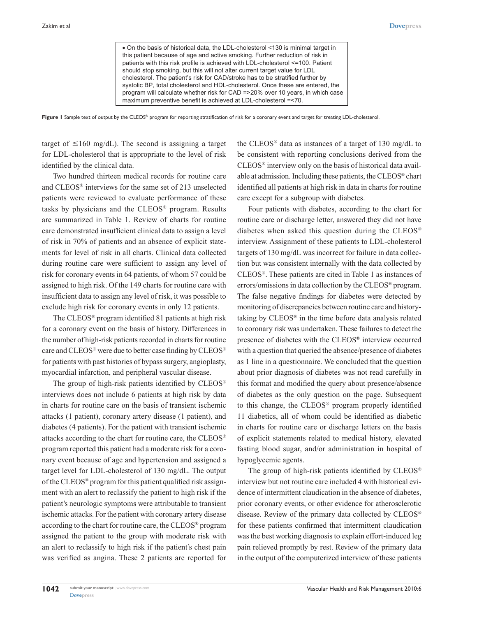• On the basis of historical data, the LDL-cholesterol <130 is minimal target in this patient because of age and active smoking. Further reduction of risk in patients with this risk profile is achieved with LDL-cholesterol <=100. Patient should stop smoking, but this will not alter current target value for LDL cholesterol. The patient's risk for CAD/stroke has to be stratified further by systolic BP, total cholesterol and HDL-cholesterol. Once these are entered, the program will calculate whether risk for CAD =>20% over 10 years, in which case maximum preventive benefit is achieved at LDL-cholesterol =<70.

Figure 1 Sample text of output by the CLEOS® program for reporting stratification of risk for a coronary event and target for treating LDL-cholesterol.

target of  $\leq 160$  mg/dL). The second is assigning a target for LDL-cholesterol that is appropriate to the level of risk identified by the clinical data.

Two hundred thirteen medical records for routine care and CLEOS® interviews for the same set of 213 unselected patients were reviewed to evaluate performance of these tasks by physicians and the CLEOS® program. Results are summarized in Table 1. Review of charts for routine care demonstrated insufficient clinical data to assign a level of risk in 70% of patients and an absence of explicit statements for level of risk in all charts. Clinical data collected during routine care were sufficient to assign any level of risk for coronary events in 64 patients, of whom 57 could be assigned to high risk. Of the 149 charts for routine care with insufficient data to assign any level of risk, it was possible to exclude high risk for coronary events in only 12 patients.

The CLEOS® program identified 81 patients at high risk for a coronary event on the basis of history. Differences in the number of high-risk patients recorded in charts for routine care and CLEOS® were due to better case finding by CLEOS® for patients with past histories of bypass surgery, angioplasty, myocardial infarction, and peripheral vascular disease.

The group of high-risk patients identified by CLEOS® interviews does not include 6 patients at high risk by data in charts for routine care on the basis of transient ischemic attacks (1 patient), coronary artery disease (1 patient), and diabetes (4 patients). For the patient with transient ischemic attacks according to the chart for routine care, the CLEOS® program reported this patient had a moderate risk for a coronary event because of age and hypertension and assigned a target level for LDL-cholesterol of 130 mg/dL. The output of the CLEOS® program for this patient qualified risk assignment with an alert to reclassify the patient to high risk if the patient's neurologic symptoms were attributable to transient ischemic attacks. For the patient with coronary artery disease according to the chart for routine care, the CLEOS® program assigned the patient to the group with moderate risk with an alert to reclassify to high risk if the patient's chest pain was verified as angina. These 2 patients are reported for the CLEOS® data as instances of a target of 130 mg/dL to be consistent with reporting conclusions derived from the CLEOS® interview only on the basis of historical data available at admission. Including these patients, the CLEOS® chart identified all patients at high risk in data in charts for routine care except for a subgroup with diabetes.

Four patients with diabetes, according to the chart for routine care or discharge letter, answered they did not have diabetes when asked this question during the CLEOS® interview. Assignment of these patients to LDL-cholesterol targets of 130 mg/dL was incorrect for failure in data collection but was consistent internally with the data collected by CLEOS®. These patients are cited in Table 1 as instances of errors/omissions in data collection by the CLEOS® program. The false negative findings for diabetes were detected by monitoring of discrepancies between routine care and historytaking by CLEOS® in the time before data analysis related to coronary risk was undertaken. These failures to detect the presence of diabetes with the CLEOS® interview occurred with a question that queried the absence/presence of diabetes as 1 line in a questionnaire. We concluded that the question about prior diagnosis of diabetes was not read carefully in this format and modified the query about presence/absence of diabetes as the only question on the page. Subsequent to this change, the CLEOS® program properly identified 11 diabetics, all of whom could be identified as diabetic in charts for routine care or discharge letters on the basis of explicit statements related to medical history, elevated fasting blood sugar, and/or administration in hospital of hypoglycemic agents.

The group of high-risk patients identified by CLEOS® interview but not routine care included 4 with historical evidence of intermittent claudication in the absence of diabetes, prior coronary events, or other evidence for atherosclerotic disease. Review of the primary data collected by CLEOS® for these patients confirmed that intermittent claudication was the best working diagnosis to explain effort-induced leg pain relieved promptly by rest. Review of the primary data in the output of the computerized interview of these patients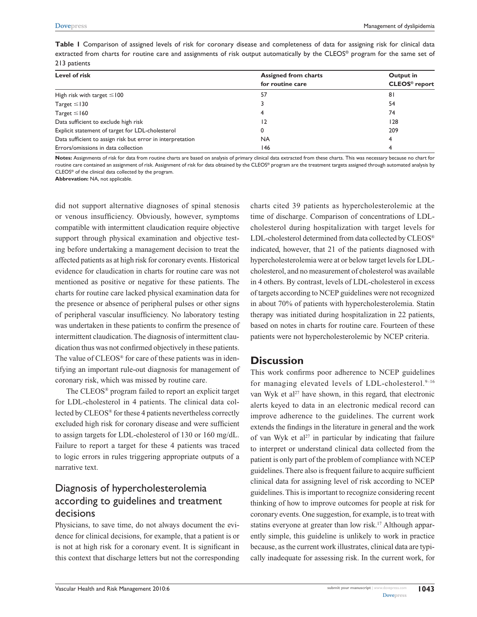|                                                            | <b>Assigned from charts</b><br>for routine care | Output in<br><b>CLEOS®</b> report |
|------------------------------------------------------------|-------------------------------------------------|-----------------------------------|
| <b>Level of risk</b>                                       |                                                 |                                   |
|                                                            |                                                 |                                   |
| Target $\leq$ 130                                          |                                                 | 54                                |
| Target $\leq$ 160                                          | 4                                               | 74                                |
| Data sufficient to exclude high risk                       | 12                                              | 128                               |
| Explicit statement of target for LDL-cholesterol           |                                                 | 209                               |
| Data sufficient to assign risk but error in interpretation | <b>NA</b>                                       | 4                                 |
| Errors/omissions in data collection                        | 146                                             |                                   |

**Table 1** Comparison of assigned levels of risk for coronary disease and completeness of data for assigning risk for clinical data extracted from charts for routine care and assignments of risk output automatically by the CLEOS® program for the same set of 213 patients

**Notes:** Assignments of risk for data from routine charts are based on analysis of primary clinical data extracted from these charts. This was necessary because no chart for routine care contained an assignment of risk. Assignment of risk for data obtained by the CLEOS® program are the treatment targets assigned through automated analysis by CLEOS® of the clinical data collected by the program.

**Abbrevation:** NA, not applicable.

did not support alternative diagnoses of spinal stenosis or venous insufficiency. Obviously, however, symptoms compatible with intermittent claudication require objective support through physical examination and objective testing before undertaking a management decision to treat the affected patients as at high risk for coronary events. Historical evidence for claudication in charts for routine care was not mentioned as positive or negative for these patients. The charts for routine care lacked physical examination data for the presence or absence of peripheral pulses or other signs of peripheral vascular insufficiency. No laboratory testing was undertaken in these patients to confirm the presence of intermittent claudication. The diagnosis of intermittent claudication thus was not confirmed objectively in these patients. The value of CLEOS® for care of these patients was in identifying an important rule-out diagnosis for management of coronary risk, which was missed by routine care.

The CLEOS® program failed to report an explicit target for LDL-cholesterol in 4 patients. The clinical data collected by CLEOS® for these 4 patients nevertheless correctly excluded high risk for coronary disease and were sufficient to assign targets for LDL-cholesterol of 130 or 160 mg/dL. Failure to report a target for these 4 patients was traced to logic errors in rules triggering appropriate outputs of a narrative text.

### Diagnosis of hypercholesterolemia according to guidelines and treatment decisions

Physicians, to save time, do not always document the evidence for clinical decisions, for example, that a patient is or is not at high risk for a coronary event. It is significant in this context that discharge letters but not the corresponding

charts cited 39 patients as hypercholesterolemic at the time of discharge. Comparison of concentrations of LDLcholesterol during hospitalization with target levels for LDL-cholesterol determined from data collected by CLEOS® indicated, however, that 21 of the patients diagnosed with hypercholesterolemia were at or below target levels for LDLcholesterol, and no measurement of cholesterol was available in 4 others. By contrast, levels of LDL-cholesterol in excess of targets according to NCEP guidelines were not recognized in about 70% of patients with hypercholesterolemia. Statin therapy was initiated during hospitalization in 22 patients, based on notes in charts for routine care. Fourteen of these patients were not hypercholesterolemic by NCEP criteria.

#### **Discussion**

This work confirms poor adherence to NCEP guidelines for managing elevated levels of LDL-cholesterol. $9-16$ van Wyk et al<sup>27</sup> have shown, in this regard, that electronic alerts keyed to data in an electronic medical record can improve adherence to the guidelines. The current work extends the findings in the literature in general and the work of van Wyk et al<sup>27</sup> in particular by indicating that failure to interpret or understand clinical data collected from the patient is only part of the problem of compliance with NCEP guidelines. There also is frequent failure to acquire sufficient clinical data for assigning level of risk according to NCEP guidelines. This is important to recognize considering recent thinking of how to improve outcomes for people at risk for coronary events. One suggestion, for example, is to treat with statins everyone at greater than low risk.<sup>17</sup> Although apparently simple, this guideline is unlikely to work in practice because, as the current work illustrates, clinical data are typically inadequate for assessing risk. In the current work, for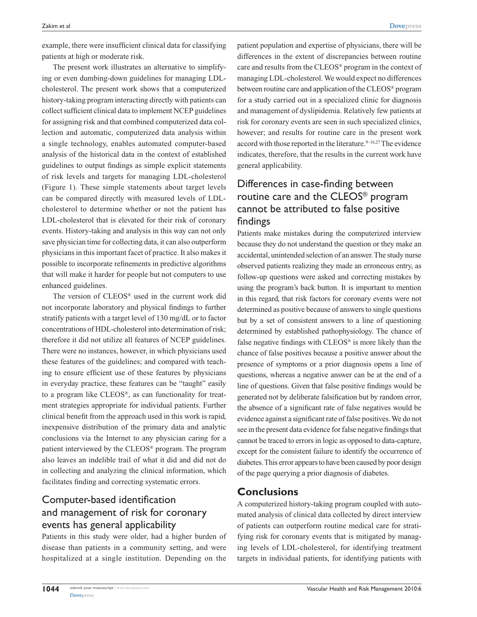example, there were insufficient clinical data for classifying patients at high or moderate risk.

The present work illustrates an alternative to simplifying or even dumbing-down guidelines for managing LDLcholesterol. The present work shows that a computerized history-taking program interacting directly with patients can collect sufficient clinical data to implement NCEP guidelines for assigning risk and that combined computerized data collection and automatic, computerized data analysis within a single technology, enables automated computer-based analysis of the historical data in the context of established guidelines to output findings as simple explicit statements of risk levels and targets for managing LDL-cholesterol (Figure 1). These simple statements about target levels can be compared directly with measured levels of LDLcholesterol to determine whether or not the patient has LDL-cholesterol that is elevated for their risk of coronary events. History-taking and analysis in this way can not only save physician time for collecting data, it can also outperform physicians in this important facet of practice. It also makes it possible to incorporate refinements in predictive algorithms that will make it harder for people but not computers to use enhanced guidelines.

The version of CLEOS® used in the current work did not incorporate laboratory and physical findings to further stratify patients with a target level of 130 mg/dL or to factor concentrations of HDL-cholesterol into determination of risk; therefore it did not utilize all features of NCEP guidelines. There were no instances, however, in which physicians used these features of the guidelines; and compared with teaching to ensure efficient use of these features by physicians in everyday practice, these features can be "taught" easily to a program like CLEOS®, as can functionality for treatment strategies appropriate for individual patients. Further clinical benefit from the approach used in this work is rapid, inexpensive distribution of the primary data and analytic conclusions via the Internet to any physician caring for a patient interviewed by the CLEOS® program. The program also leaves an indelible trail of what it did and did not do in collecting and analyzing the clinical information, which facilitates finding and correcting systematic errors.

## Computer-based identification and management of risk for coronary events has general applicability

Patients in this study were older, had a higher burden of disease than patients in a community setting, and were hospitalized at a single institution. Depending on the patient population and expertise of physicians, there will be differences in the extent of discrepancies between routine care and results from the CLEOS® program in the context of managing LDL-cholesterol. We would expect no differences between routine care and application of the CLEOS® program for a study carried out in a specialized clinic for diagnosis and management of dyslipidemia. Relatively few patients at risk for coronary events are seen in such specialized clinics, however; and results for routine care in the present work accord with those reported in the literature.  $9-16,27$  The evidence indicates, therefore, that the results in the current work have general applicability.

## Differences in case-finding between routine care and the CLEOS® program cannot be attributed to false positive findings

Patients make mistakes during the computerized interview because they do not understand the question or they make an accidental, unintended selection of an answer. The study nurse observed patients realizing they made an erroneous entry, as follow-up questions were asked and correcting mistakes by using the program's back button. It is important to mention in this regard, that risk factors for coronary events were not determined as positive because of answers to single questions but by a set of consistent answers to a line of questioning determined by established pathophysiology. The chance of false negative findings with CLEOS® is more likely than the chance of false positives because a positive answer about the presence of symptoms or a prior diagnosis opens a line of questions, whereas a negative answer can be at the end of a line of questions. Given that false positive findings would be generated not by deliberate falsification but by random error, the absence of a significant rate of false negatives would be evidence against a significant rate of false positives. We do not see in the present data evidence for false negative findings that cannot be traced to errors in logic as opposed to data-capture, except for the consistent failure to identify the occurrence of diabetes. This error appears to have been caused by poor design of the page querying a prior diagnosis of diabetes.

## **Conclusions**

A computerized history-taking program coupled with automated analysis of clinical data collected by direct interview of patients can outperform routine medical care for stratifying risk for coronary events that is mitigated by managing levels of LDL-cholesterol, for identifying treatment targets in individual patients, for identifying patients with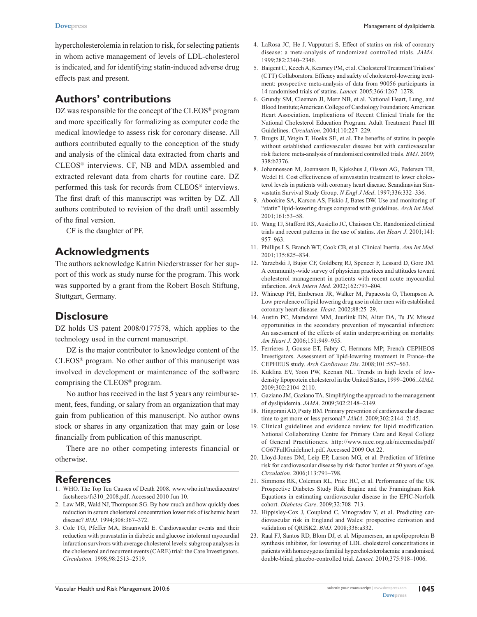hypercholesterolemia in relation to risk, for selecting patients in whom active management of levels of LDL-cholesterol is indicated, and for identifying statin-induced adverse drug effects past and present.

#### **Authors' contributions**

DZ was responsible for the concept of the CLEOS<sup>®</sup> program and more specifically for formalizing as computer code the medical knowledge to assess risk for coronary disease. All authors contributed equally to the conception of the study and analysis of the clinical data extracted from charts and CLEOS® interviews. CF, NB and MDA assembled and extracted relevant data from charts for routine care. DZ performed this task for records from CLEOS® interviews. The first draft of this manuscript was written by DZ. All authors contributed to revision of the draft until assembly of the final version.

CF is the daughter of PF.

#### **Acknowledgments**

The authors acknowledge Katrin Niederstrasser for her support of this work as study nurse for the program. This work was supported by a grant from the Robert Bosch Stiftung, Stuttgart, Germany.

#### **Disclosure**

DZ holds US patent 2008/0177578, which applies to the technology used in the current manuscript.

DZ is the major contributor to knowledge content of the CLEOS® program. No other author of this manuscript was involved in development or maintenance of the software comprising the CLEOS® program.

No author has received in the last 5 years any reimbursement, fees, funding, or salary from an organization that may gain from publication of this manuscript. No author owns stock or shares in any organization that may gain or lose financially from publication of this manuscript.

There are no other competing interests financial or otherwise.

#### **References**

- 1. WHO. The Top Ten Causes of Death 2008. [www.who.int/mediacentre/](www.who.int/mediacentre/factsheets/fs310_2008.pdf) [factsheets/fs310\\_2008.pdf](www.who.int/mediacentre/factsheets/fs310_2008.pdf). Accessed 2010 Jun 10.
- 2. Law MR, Wald NJ, Thompson SG. By how much and how quickly does reduction in serum cholesterol concentration lower risk of ischemic heart disease? *BMJ*. 1994;308:367–372.
- 3. Cole TG, Pfeffer MA, Braunwald E. Cardiovascular events and their reduction with pravastatin in diabetic and glucose intolerant myocardial infarction survivors with average cholesterol levels: subgroup analyses in the cholesterol and recurrent events (CARE) trial: the Care Investigators. *Circulation.* 1998;98:2513–2519.
- 4. LaRosa JC, He J, Vupputuri S. Effect of statins on risk of coronary disease: a meta-analysis of randomized controlled trials. *JAMA*. 1999;282:2340–2346.
- 5. Baigent C, Keech A, Kearney PM, et al. Cholesterol Treatment Trialists' (CTT) Collaborators. Efficacy and safety of cholesterol-lowering treatment: prospective meta-analysis of data from 90056 participants in 14 randomised trials of statins. *Lancet.* 2005;366:1267–1278.
- 6. Grundy SM, Cleeman JI, Merz NB, et al. National Heart, Lung, and Blood Institute;American College of Cardiology Foundation; American Heart Association. Implications of Recent Clinical Trials for the National Cholesterol Education Program. Adult Treatment Panel III Guidelines. *Circulation.* 2004;110:227–229.
- 7. Brugts JJ, Yetgin T, Hoeks SE, et al. The benefits of statins in people without established cardiovascular disease but with cardiovascular risk factors: meta-analysis of randomised controlled trials. *BMJ*. 2009; 338:b2376.
- 8. Johannesson M, Joennsson B, Kjekshus J, Olsson AG, Pedersen TR, Wedel H. Cost effectiveness of simvastatin treatment to lower cholesterol levels in patients with coronary heart disease. Scandinavian Simvastatin Survival Study Group. *N Engl J Med*. 1997;336:332–336.
- 9. Abookire SA, Karson AS, Fiskio J, Bates DW. Use and monitoring of "statin" lipid-lowering drugs compared with guidelines. *Arch Int Med*. 2001;161:53–58.
- 10. Wang TJ, Stafford RS, Ausiello JC, Chaisson CE. Randomized clinical trials and recent patterns in the use of statins. *Am Heart J*. 2001;141: 957–963.
- 11. Phillips LS, Branch WT, Cook CB, et al. Clinical Inertia. *Ann Int Med*. 2001;135:825–834.
- 12. Yarzebski J, Bujor CF, Goldberg RJ, Spencer F, Lessard D, Gore JM. A community-wide survey of physician practices and attitudes toward cholesterol management in patients with recent acute myocardial infarction. *Arch Intern Med*. 2002;162:797–804.
- 13. Whincup PH, Emberson JR, Walker M, Papacosta O, Thompson A. Low prevalence of lipid lowering drug use in older men with established coronary heart disease. *Heart*. 2002;88:25–29.
- 14. Austin PC, Mamdami MM, Juurlink DN, Alter DA, Tu JV. Missed opportunities in the secondary prevention of myocardial infarction: An assessment of the effects of statin underprescribing on mortality. *Am Heart J*. 2006;151:949–955.
- 15. Ferrieres J, Gousse ET, Fabry C, Hermans MP; French CEPHEOS Investigators. Assessment of lipid-lowering treatment in France–the CEPHEUS study. *Arch Cardiovasc Dis*. 2008;101:557–563.
- 16. Kuklina EV, Yoon PW, Keenan NL. Trends in high levels of lowdensity lipoprotein cholesterol in the United States, 1999–2006. *JAMA*. 2009;302:2104–2110.
- 17. Gaziano JM, Gaziano TA. Simplifying the approach to the management of dyslipidemia. *JAMA*. 2009;302:2148–2149.
- 18. Hingorani AD, Psaty BM. Primary prevention of cardiovascular disease: time to get more or less personal? *JAMA*. 2009;302:2144–2145.
- 19. Clinical guidelines and evidence review for lipid modification. National Collaborating Centre for Primary Care and Royal College of General Practitioners. [http://www.nice.org.uk/nicemedia/pdf/](http://www.nice.org.uk/nicemedia/pdf/CG67FullGuideline1.pdf) [CG67FullGuideline1.pdf.](http://www.nice.org.uk/nicemedia/pdf/CG67FullGuideline1.pdf) Accessed 2009 Oct 22.
- 20. Lloyd-Jones DM, Leip EP, Larson MG, et al. Prediction of lifetime risk for cardiovascular disease by risk factor burden at 50 years of age. *Circulation.* 2006;113:791–798.
- 21. Simmons RK, Coleman RL, Price HC, et al. Performance of the UK Prospective Diabetes Study Risk Engine and the Framingham Risk Equations in estimating cardiovascular disease in the EPIC-Norfolk cohort. *Diabetes Care*. 2009;32:708–713.
- 22. Hippisley-Cox J, Coupland C, Vinogradov Y, et al. Predicting cardiovascular risk in England and Wales: prospective derivation and validation of QRISK2. *BMJ*. 2008;336:a332.
- 23. Raal FJ, Santos RD, Blom DJ, et al. Mipomersen, an apolipoprotein B synthesis inhibitor, for lowering of LDL cholesterol concentrations in patients with homozygous familial hypercholesterolaemia: a randomised, double-blind, placebo-controlled trial. *Lancet.* 2010;375:918–1006.